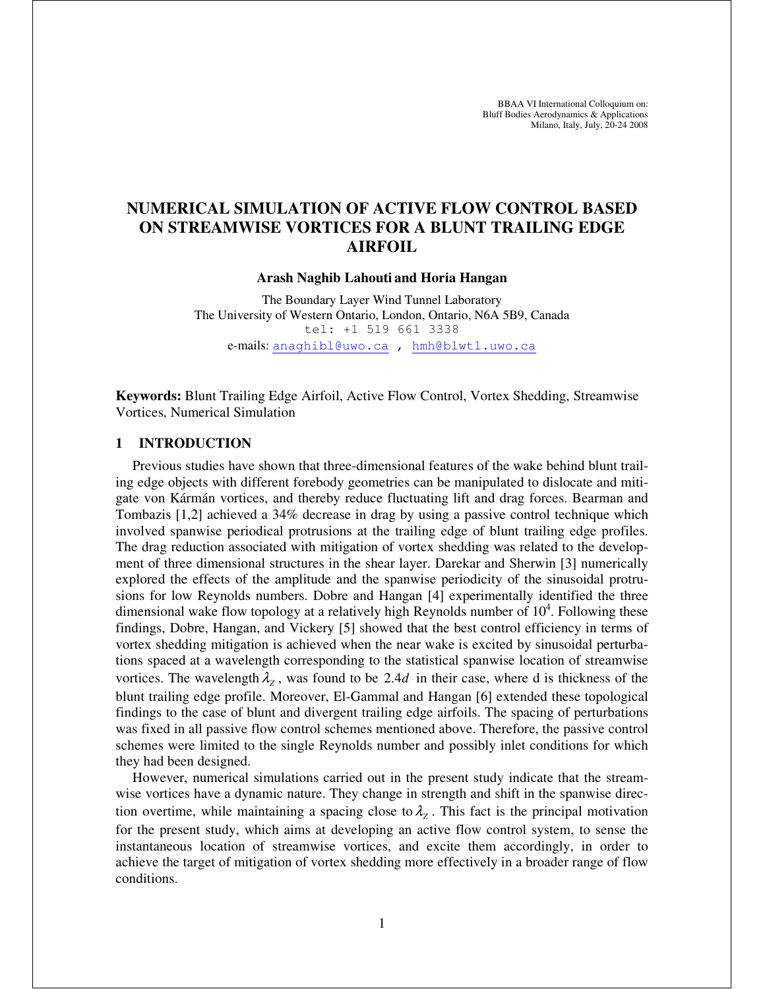BBAA VI International Colloquium on: Bluff Bodies Aerodynamics & Applications Milano, Italy, July, 20-24 2008

# **NUMERICAL SIMULATION OF ACTIVE FLOW CONTROL BASED ON STREAMWISE VORTICES FOR A BLUNT TRAILING EDGE AIRFOIL**

#### **Arash Naghib Lahouti and Horia Hangan**

The Boundary Layer Wind Tunnel Laboratory The University of Western Ontario, London, Ontario, N6A 5B9, Canada tel: +1 519 661 3338 e-mails: anaghibl@uwo.ca , hmh@blwtl.uwo.ca

**Keywords:** Blunt Trailing Edge Airfoil, Active Flow Control, Vortex Shedding, Streamwise Vortices, Numerical Simulation

## **1 INTRODUCTION**

Previous studies have shown that three-dimensional features of the wake behind blunt trailing edge objects with different forebody geometries can be manipulated to dislocate and mitigate von Kármán vortices, and thereby reduce fluctuating lift and drag forces. Bearman and Tombazis [1,2] achieved a 34% decrease in drag by using a passive control technique which involved spanwise periodical protrusions at the trailing edge of blunt trailing edge profiles. The drag reduction associated with mitigation of vortex shedding was related to the development of three dimensional structures in the shear layer. Darekar and Sherwin [3] numerically explored the effects of the amplitude and the spanwise periodicity of the sinusoidal protrusions for low Reynolds numbers. Dobre and Hangan [4] experimentally identified the three dimensional wake flow topology at a relatively high Reynolds number of  $10^4$ . Following these findings, Dobre, Hangan, and Vickery [5] showed that the best control efficiency in terms of vortex shedding mitigation is achieved when the near wake is excited by sinusoidal perturbations spaced at a wavelength corresponding to the statistical spanwise location of streamwise vortices. The wavelength  $\lambda_z$ , was found to be 2.4*d* in their case, where d is thickness of the blunt trailing edge profile. Moreover, El-Gammal and Hangan [6] extended these topological findings to the case of blunt and divergent trailing edge airfoils. The spacing of perturbations was fixed in all passive flow control schemes mentioned above. Therefore, the passive control schemes were limited to the single Reynolds number and possibly inlet conditions for which they had been designed.

However, numerical simulations carried out in the present study indicate that the streamwise vortices have a dynamic nature. They change in strength and shift in the spanwise direction overtime, while maintaining a spacing close to  $\lambda_z$ . This fact is the principal motivation for the present study, which aims at developing an active flow control system, to sense the instantaneous location of streamwise vortices, and excite them accordingly, in order to achieve the target of mitigation of vortex shedding more effectively in a broader range of flow conditions.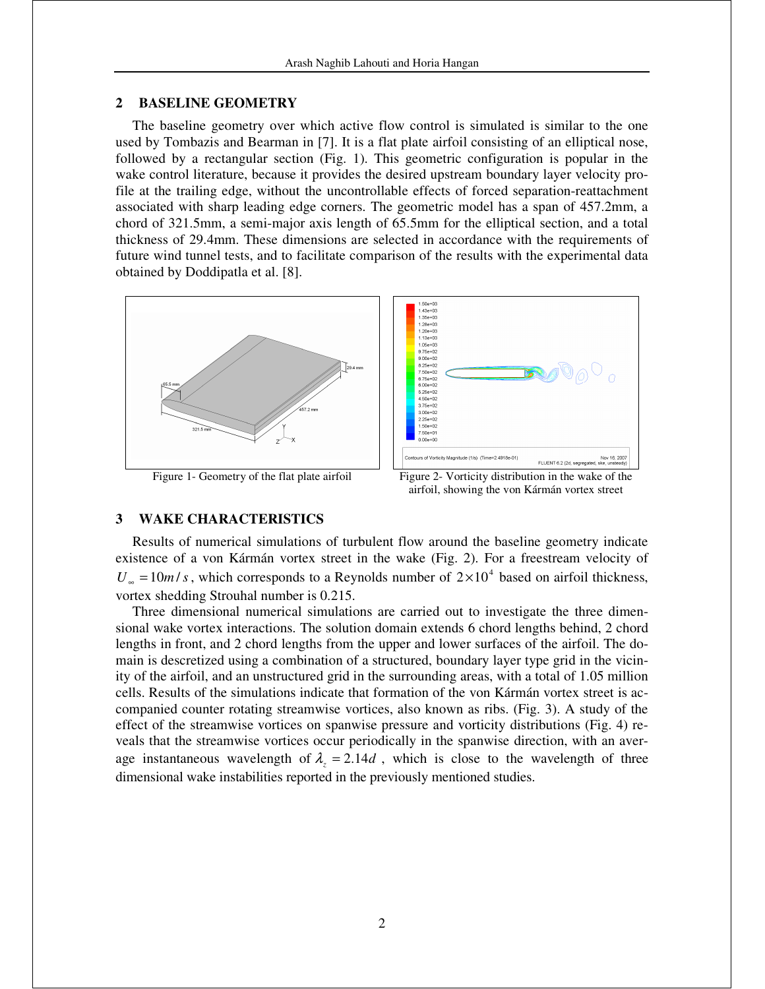## **2 BASELINE GEOMETRY**

The baseline geometry over which active flow control is simulated is similar to the one used by Tombazis and Bearman in [7]. It is a flat plate airfoil consisting of an elliptical nose, followed by a rectangular section (Fig. 1). This geometric configuration is popular in the wake control literature, because it provides the desired upstream boundary layer velocity profile at the trailing edge, without the uncontrollable effects of forced separation-reattachment associated with sharp leading edge corners. The geometric model has a span of 457.2mm, a chord of 321.5mm, a semi-major axis length of 65.5mm for the elliptical section, and a total thickness of 29.4mm. These dimensions are selected in accordance with the requirements of future wind tunnel tests, and to facilitate comparison of the results with the experimental data obtained by Doddipatla et al. [8].





#### **3 WAKE CHARACTERISTICS**

Results of numerical simulations of turbulent flow around the baseline geometry indicate existence of a von Kármán vortex street in the wake (Fig. 2). For a freestream velocity of  $U_{\infty} = 10m/s$ , which corresponds to a Reynolds number of  $2 \times 10^{4}$  based on airfoil thickness, vortex shedding Strouhal number is 0.215.

Three dimensional numerical simulations are carried out to investigate the three dimensional wake vortex interactions. The solution domain extends 6 chord lengths behind, 2 chord lengths in front, and 2 chord lengths from the upper and lower surfaces of the airfoil. The domain is descretized using a combination of a structured, boundary layer type grid in the vicinity of the airfoil, and an unstructured grid in the surrounding areas, with a total of 1.05 million cells. Results of the simulations indicate that formation of the von Kármán vortex street is accompanied counter rotating streamwise vortices, also known as ribs. (Fig. 3). A study of the effect of the streamwise vortices on spanwise pressure and vorticity distributions (Fig. 4) reveals that the streamwise vortices occur periodically in the spanwise direction, with an average instantaneous wavelength of  $\lambda_z = 2.14d$ , which is close to the wavelength of three dimensional wake instabilities reported in the previously mentioned studies.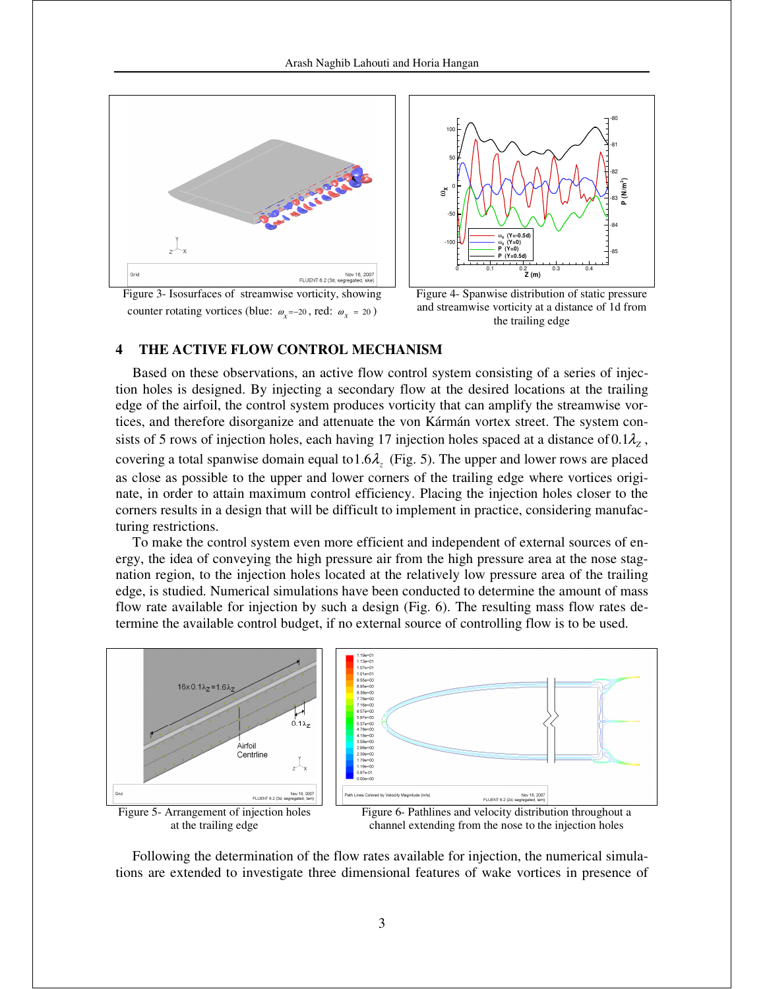



Figure 3- Isosurfaces of streamwise vorticity, showing counter rotating vortices (blue:  $\omega_x = -20$ , red:  $\omega_x = 20$ )

 Figure 4- Spanwise distribution of static pressure and streamwise vorticity at a distance of 1d from the trailing edge

## **4 THE ACTIVE FLOW CONTROL MECHANISM**

Based on these observations, an active flow control system consisting of a series of injection holes is designed. By injecting a secondary flow at the desired locations at the trailing edge of the airfoil, the control system produces vorticity that can amplify the streamwise vortices, and therefore disorganize and attenuate the von Kármán vortex street. The system consists of 5 rows of injection holes, each having 17 injection holes spaced at a distance of  $0.1\lambda$ <sub>z</sub>, covering a total spanwise domain equal to 1.6 $\lambda$ , (Fig. 5). The upper and lower rows are placed as close as possible to the upper and lower corners of the trailing edge where vortices originate, in order to attain maximum control efficiency. Placing the injection holes closer to the corners results in a design that will be difficult to implement in practice, considering manufacturing restrictions.

To make the control system even more efficient and independent of external sources of energy, the idea of conveying the high pressure air from the high pressure area at the nose stagnation region, to the injection holes located at the relatively low pressure area of the trailing edge, is studied. Numerical simulations have been conducted to determine the amount of mass flow rate available for injection by such a design (Fig. 6). The resulting mass flow rates determine the available control budget, if no external source of controlling flow is to be used.



at the trailing edge

channel extending from the nose to the injection holes

Following the determination of the flow rates available for injection, the numerical simulations are extended to investigate three dimensional features of wake vortices in presence of